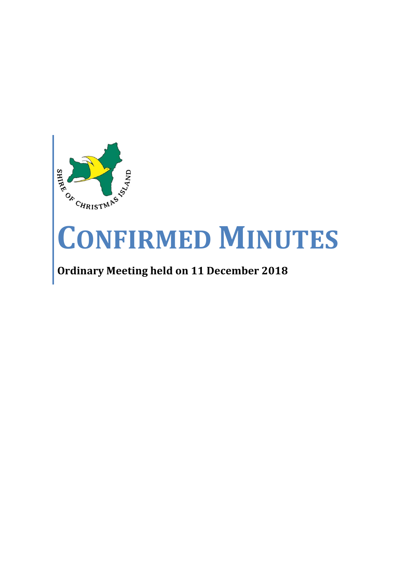

# **CONFIRMED MINUTES**

# **Ordinary Meeting held on 11 December 2018**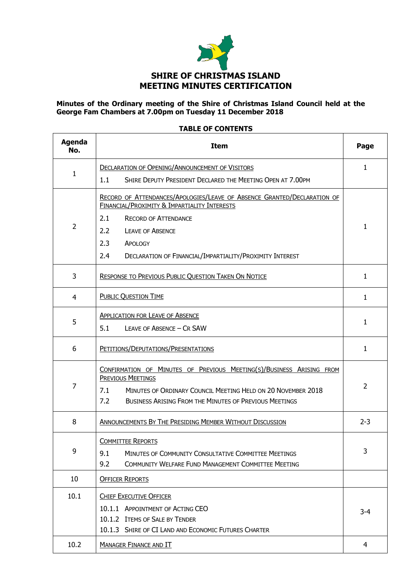

#### **Minutes of the Ordinary meeting of the Shire of Christmas Island Council held at the George Fam Chambers at 7.00pm on Tuesday 11 December 2018**

#### **TABLE OF CONTENTS**

| <b>Agenda</b><br>No. | <b>Item</b>                                                                                                                                           | Page           |  |
|----------------------|-------------------------------------------------------------------------------------------------------------------------------------------------------|----------------|--|
|                      | <b>DECLARATION OF OPENING/ANNOUNCEMENT OF VISITORS</b>                                                                                                | 1              |  |
| 1                    | 1.1<br>SHIRE DEPUTY PRESIDENT DECLARED THE MEETING OPEN AT 7.00PM                                                                                     |                |  |
|                      | RECORD OF ATTENDANCES/APOLOGIES/LEAVE OF ABSENCE GRANTED/DECLARATION OF<br><b>FINANCIAL/PROXIMITY &amp; IMPARTIALITY INTERESTS</b>                    |                |  |
| $\overline{2}$       | 2.1<br><b>RECORD OF ATTENDANCE</b>                                                                                                                    |                |  |
|                      | 2.2<br><b>LEAVE OF ABSENCE</b>                                                                                                                        |                |  |
|                      | 2.3<br>APOLOGY                                                                                                                                        |                |  |
|                      | 2.4<br>DECLARATION OF FINANCIAL/IMPARTIALITY/PROXIMITY INTEREST                                                                                       |                |  |
| 3                    | <b>RESPONSE TO PREVIOUS PUBLIC QUESTION TAKEN ON NOTICE</b>                                                                                           | $\mathbf{1}$   |  |
| 4                    | <b>PUBLIC QUESTION TIME</b>                                                                                                                           | $\mathbf{1}$   |  |
|                      | <b>APPLICATION FOR LEAVE OF ABSENCE</b>                                                                                                               |                |  |
| 5                    | 5.1<br>LEAVE OF ABSENCE - CR SAW                                                                                                                      | 1              |  |
| 6                    | PETITIONS/DEPUTATIONS/PRESENTATIONS                                                                                                                   | $\mathbf{1}$   |  |
| 7                    | CONFIRMATION OF MINUTES OF PREVIOUS MEETING(S)/BUSINESS ARISING FROM<br>PREVIOUS MEETINGS                                                             | $\overline{2}$ |  |
|                      | 7.1<br>MINUTES OF ORDINARY COUNCIL MEETING HELD ON 20 NOVEMBER 2018<br>7.2<br><b>BUSINESS ARISING FROM THE MINUTES OF PREVIOUS MEETINGS</b>           |                |  |
| 8                    | ANNOUNCEMENTS BY THE PRESIDING MEMBER WITHOUT DISCUSSION                                                                                              | $2 - 3$        |  |
| 9                    | <b>COMMITTEE REPORTS</b><br>9.1<br>MINUTES OF COMMUNITY CONSULTATIVE COMMITTEE MEETINGS<br>9.2<br>COMMUNITY WELFARE FUND MANAGEMENT COMMITTEE MEETING | 3              |  |
| 10                   | <b>OFFICER REPORTS</b>                                                                                                                                |                |  |
| 10.1                 | <b>CHIEF EXECUTIVE OFFICER</b>                                                                                                                        |                |  |
|                      | 10.1.1 APPOINTMENT OF ACTING CEO                                                                                                                      | 3-4            |  |
|                      | 10.1.2 ITEMS OF SALE BY TENDER                                                                                                                        |                |  |
|                      | 10.1.3 SHIRE OF CI LAND AND ECONOMIC FUTURES CHARTER                                                                                                  |                |  |
| 10.2                 | <b>MANAGER FINANCE AND IT</b>                                                                                                                         | 4              |  |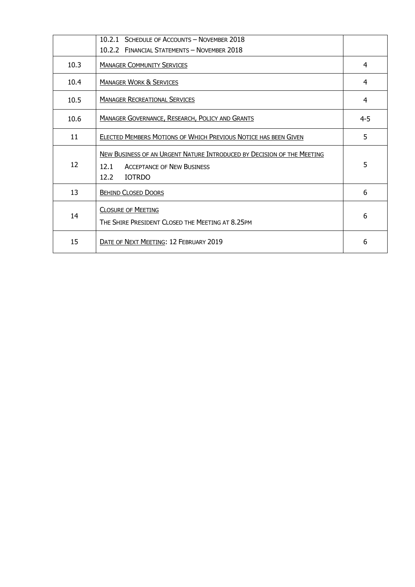|      | 10.2.1 SCHEDULE OF ACCOUNTS - NOVEMBER 2018<br>10.2.2 FINANCIAL STATEMENTS - NOVEMBER 2018                                                   |         |
|------|----------------------------------------------------------------------------------------------------------------------------------------------|---------|
| 10.3 | <b>MANAGER COMMUNITY SERVICES</b>                                                                                                            | 4       |
| 10.4 | <b>MANAGER WORK &amp; SERVICES</b>                                                                                                           | 4       |
| 10.5 | <b>MANAGER RECREATIONAL SERVICES</b>                                                                                                         | 4       |
| 10.6 | <b>MANAGER GOVERNANCE, RESEARCH, POLICY AND GRANTS</b>                                                                                       | $4 - 5$ |
| 11   | ELECTED MEMBERS MOTIONS OF WHICH PREVIOUS NOTICE HAS BEEN GIVEN                                                                              | 5       |
| 12   | NEW BUSINESS OF AN URGENT NATURE INTRODUCED BY DECISION OF THE MEETING<br><b>ACCEPTANCE OF NEW BUSINESS</b><br>12.1<br><b>IOTRDO</b><br>12.2 | 5       |
| 13   | <b>BEHIND CLOSED DOORS</b>                                                                                                                   | 6       |
| 14   | <b>CLOSURE OF MEETING</b><br>THE SHIRE PRESIDENT CLOSED THE MEETING AT 8.25PM                                                                | 6       |
| 15   | DATE OF NEXT MEETING: 12 FEBRUARY 2019                                                                                                       | 6       |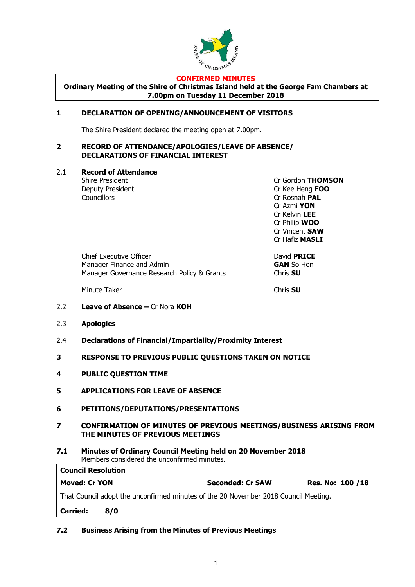

#### **CONFIRMED MINUTES**

**Ordinary Meeting of the Shire of Christmas Island held at the George Fam Chambers at 7.00pm on Tuesday 11 December 2018**

#### **1 DECLARATION OF OPENING/ANNOUNCEMENT OF VISITORS**

The Shire President declared the meeting open at 7.00pm.

#### **2 RECORD OF ATTENDANCE/APOLOGIES/LEAVE OF ABSENCE/ DECLARATIONS OF FINANCIAL INTEREST**

2.1 **Record of Attendance**

Councillors Cr Rosnah **PAL**

Shire President Cr Gordon **THOMSON** Deputy President Cr Kee Heng **FOO** Cr Azmi **YON** Cr Kelvin **LEE** Cr Philip **WOO** Cr Vincent **SAW** Cr Hafiz **MASLI**

| <b>Chief Executive Officer</b>              | David PF        |
|---------------------------------------------|-----------------|
| Manager Finance and Admin                   | <b>GAN So</b>   |
| Manager Governance Research Policy & Grants | Chris <b>SU</b> |

Minute Taker Chris **SU**

David **PRICE GAN** So Hon<br>Chris **SU** 

- 2.2 **Leave of Absence –** Cr Nora **KOH**
- 2.3 **Apologies**
- 2.4 **Declarations of Financial/Impartiality/Proximity Interest**
- **3 RESPONSE TO PREVIOUS PUBLIC QUESTIONS TAKEN ON NOTICE**
- **4 PUBLIC QUESTION TIME**
- **5 APPLICATIONS FOR LEAVE OF ABSENCE**
- **6 PETITIONS/DEPUTATIONS/PRESENTATIONS**
- **7 CONFIRMATION OF MINUTES OF PREVIOUS MEETINGS/BUSINESS ARISING FROM THE MINUTES OF PREVIOUS MEETINGS**
- **7.1 Minutes of Ordinary Council Meeting held on 20 November 2018** Members considered the unconfirmed minutes.

| <b>Council Resolution</b>                                                           |     |                         |                   |  |
|-------------------------------------------------------------------------------------|-----|-------------------------|-------------------|--|
| <b>Moved: Cr YON</b>                                                                |     | <b>Seconded: Cr SAW</b> | Res. No: 100 / 18 |  |
| That Council adopt the unconfirmed minutes of the 20 November 2018 Council Meeting. |     |                         |                   |  |
| <b>Carried:</b>                                                                     | 870 |                         |                   |  |

**7.2 Business Arising from the Minutes of Previous Meetings**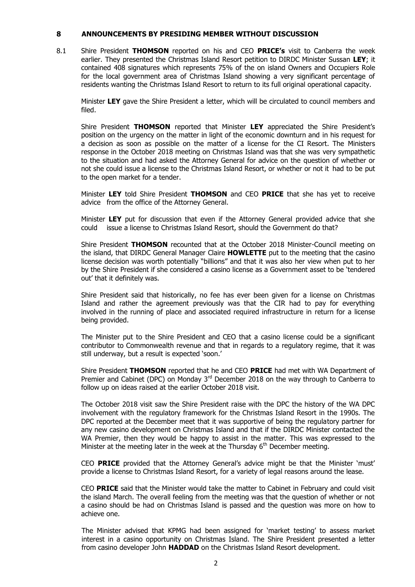#### **8 ANNOUNCEMENTS BY PRESIDING MEMBER WITHOUT DISCUSSION**

8.1 Shire President **THOMSON** reported on his and CEO **PRICE's** visit to Canberra the week earlier. They presented the Christmas Island Resort petition to DIRDC Minister Sussan **LEY**; it contained 408 signatures which represents 75% of the on island Owners and Occupiers Role for the local government area of Christmas Island showing a very significant percentage of residents wanting the Christmas Island Resort to return to its full original operational capacity.

Minister **LEY** gave the Shire President a letter, which will be circulated to council members and filed.

Shire President **THOMSON** reported that Minister **LEY** appreciated the Shire President's position on the urgency on the matter in light of the economic downturn and in his request for a decision as soon as possible on the matter of a license for the CI Resort. The Ministers response in the October 2018 meeting on Christmas Island was that she was very sympathetic to the situation and had asked the Attorney General for advice on the question of whether or not she could issue a license to the Christmas Island Resort, or whether or not it had to be put to the open market for a tender.

Minister **LEY** told Shire President **THOMSON** and CEO **PRICE** that she has yet to receive advice from the office of the Attorney General.

Minister **LEY** put for discussion that even if the Attorney General provided advice that she could issue a license to Christmas Island Resort, should the Government do that?

Shire President **THOMSON** recounted that at the October 2018 Minister-Council meeting on the island, that DIRDC General Manager Claire **HOWLETTE** put to the meeting that the casino license decision was worth potentially "billions" and that it was also her view when put to her by the Shire President if she considered a casino license as a Government asset to be 'tendered out' that it definitely was.

Shire President said that historically, no fee has ever been given for a license on Christmas Island and rather the agreement previously was that the CIR had to pay for everything involved in the running of place and associated required infrastructure in return for a license being provided.

The Minister put to the Shire President and CEO that a casino license could be a significant contributor to Commonwealth revenue and that in regards to a regulatory regime, that it was still underway, but a result is expected 'soon.'

Shire President **THOMSON** reported that he and CEO **PRICE** had met with WA Department of Premier and Cabinet (DPC) on Monday  $3<sup>rd</sup>$  December 2018 on the way through to Canberra to follow up on ideas raised at the earlier October 2018 visit.

The October 2018 visit saw the Shire President raise with the DPC the history of the WA DPC involvement with the regulatory framework for the Christmas Island Resort in the 1990s. The DPC reported at the December meet that it was supportive of being the regulatory partner for any new casino development on Christmas Island and that if the DIRDC Minister contacted the WA Premier, then they would be happy to assist in the matter. This was expressed to the Minister at the meeting later in the week at the Thursday  $6<sup>th</sup>$  December meeting.

CEO **PRICE** provided that the Attorney General's advice might be that the Minister 'must' provide a license to Christmas Island Resort, for a variety of legal reasons around the lease.

CEO **PRICE** said that the Minister would take the matter to Cabinet in February and could visit the island March. The overall feeling from the meeting was that the question of whether or not a casino should be had on Christmas Island is passed and the question was more on how to achieve one.

The Minister advised that KPMG had been assigned for 'market testing' to assess market interest in a casino opportunity on Christmas Island. The Shire President presented a letter from casino developer John **HADDAD** on the Christmas Island Resort development.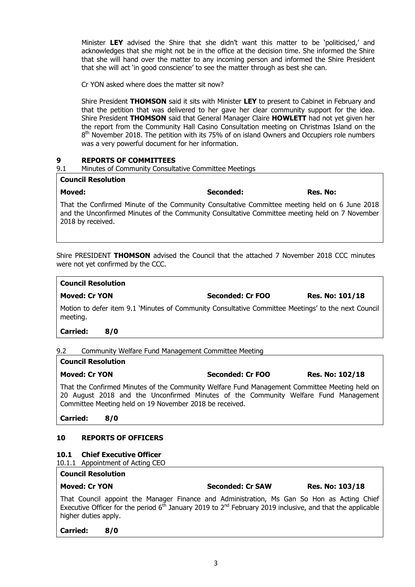Minister **LEY** advised the Shire that she didn't want this matter to be 'politicised,' and acknowledges that she might not be in the office at the decision time. She informed the Shire that she will hand over the matter to any incoming person and informed the Shire President that she will act 'in good conscience' to see the matter through as best she can.

Cr YON asked where does the matter sit now?

Shire President **THOMSON** said it sits with Minister **LEY** to present to Cabinet in February and that the petition that was delivered to her gave her clear community support for the idea. Shire President **THOMSON** said that General Manager Claire **HOWLETT** had not yet given her the report from the Community Hall Casino Consultation meeting on Christmas Island on the 8<sup>th</sup> November 2018. The petition with its 75% of on island Owners and Occupiers role numbers was a very powerful document for her information.

#### **9 REPORTS OF COMMITTEES**

| 9.1 | Minutes of Community Consultative Committee Meetings |  |  |
|-----|------------------------------------------------------|--|--|
|     |                                                      |  |  |

#### **Council Resolution**

**Moved: Seconded: Res. No:**

That the Confirmed Minute of the Community Consultative Committee meeting held on 6 June 2018 and the Unconfirmed Minutes of the Community Consultative Committee meeting held on 7 November 2018 by received.

Shire PRESIDENT **THOMSON** advised the Council that the attached 7 November 2018 CCC minutes were not yet confirmed by the CCC.

#### **Council Resolution**

**Moved: Cr YON Seconded: Cr FOO Res. No: 101/18**

Motion to defer item 9.1 'Minutes of Community Consultative Committee Meetings' to the next Council meeting.

**Carried: 8/0**

## 9.2 Community Welfare Fund Management Committee Meeting

#### **Council Resolution**

# **Moved: Cr YON Seconded: Cr FOO Res. No: 102/18**

That the Confirmed Minutes of the Community Welfare Fund Management Committee Meeting held on 20 August 2018 and the Unconfirmed Minutes of the Community Welfare Fund Management Committee Meeting held on 19 November 2018 be received.

**Carried: 8/0**

## **10 REPORTS OF OFFICERS**

#### **10.1 Chief Executive Officer**

10.1.1 Appointment of Acting CEO

#### **Council Resolution**

| <b>Moved: Cr YON</b>                                                                    | <b>Seconded: Cr SAW</b> | <b>Res. No: 103/18</b> |
|-----------------------------------------------------------------------------------------|-------------------------|------------------------|
| That Connell consider the Medicine Florida and Administration Mar Can Carlled as Addies |                         |                        |

That Council appoint the Manager Finance and Administration, Ms Gan So Hon as Acting Chief Executive Officer for the period  $6<sup>th</sup>$  January 2019 to  $2<sup>nd</sup>$  February 2019 inclusive, and that the applicable higher duties apply.

#### **Carried: 8/0**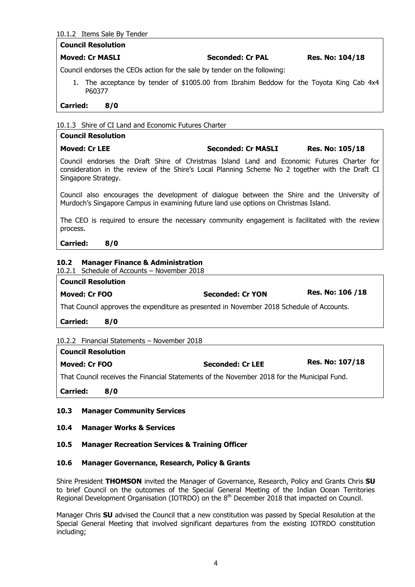#### 10.1.2 Items Sale By Tender

#### **Council Resolution**

#### **Moved: Cr MASLI Seconded: Cr PAL Res. No: 104/18**

Council endorses the CEOs action for the sale by tender on the following:

1. The acceptance by tender of \$1005.00 from Ibrahim Beddow for the Toyota King Cab 4x4 P60377

#### **Carried: 8/0**

#### 10.1.3 Shire of CI Land and Economic Futures Charter

## **Council Resolution Moved: Cr LEE Seconded: Cr MASLI Res. No: 105/18** Council endorses the Draft Shire of Christmas Island Land and Economic Futures Charter for consideration in the review of the Shire's Local Planning Scheme No 2 together with the Draft CI Singapore Strategy. Council also encourages the development of dialogue between the Shire and the University of Murdoch's Singapore Campus in examining future land use options on Christmas Island. The CEO is required to ensure the necessary community engagement is facilitated with the review process.

#### **Carried: 8/0**

#### **10.2 Manager Finance & Administration**

10.2.1 Schedule of Accounts – November 2018

| <b>Council Resolution</b>                                                                 |                  |                   |  |  |
|-------------------------------------------------------------------------------------------|------------------|-------------------|--|--|
| Moved: Cr FOO                                                                             | Seconded: Cr YON | Res. No: 106 / 18 |  |  |
| That Council approves the expenditure as presented in November 2018 Schedule of Accounts. |                  |                   |  |  |

**Carried: 8/0**

#### 10.2.2 Financial Statements – November 2018

| <b>Council Resolution</b>                                                                   |     |                         |                        |  |
|---------------------------------------------------------------------------------------------|-----|-------------------------|------------------------|--|
| Moved: Cr FOO                                                                               |     | <b>Seconded: Cr LEE</b> | <b>Res. No: 107/18</b> |  |
| That Council receives the Financial Statements of the November 2018 for the Municipal Fund. |     |                         |                        |  |
| <b>Carried:</b>                                                                             | 8/0 |                         |                        |  |

#### **10.3 Manager Community Services**

#### **10.4 Manager Works & Services**

#### **10.5 Manager Recreation Services & Training Officer**

#### **10.6 Manager Governance, Research, Policy & Grants**

Shire President **THOMSON** invited the Manager of Governance, Research, Policy and Grants Chris **SU**  to brief Council on the outcomes of the Special General Meeting of the Indian Ocean Territories Regional Development Organisation (IOTRDO) on the 8<sup>th</sup> December 2018 that impacted on Council.

Manager Chris **SU** advised the Council that a new constitution was passed by Special Resolution at the Special General Meeting that involved significant departures from the existing IOTRDO constitution including;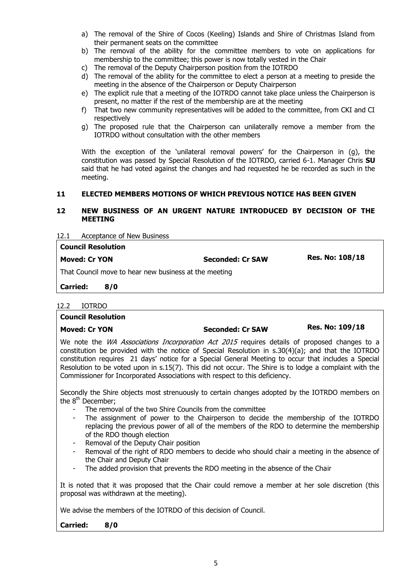- a) The removal of the Shire of Cocos (Keeling) Islands and Shire of Christmas Island from their permanent seats on the committee
- b) The removal of the ability for the committee members to vote on applications for membership to the committee; this power is now totally vested in the Chair
- c) The removal of the Deputy Chairperson position from the IOTRDO
- d) The removal of the ability for the committee to elect a person at a meeting to preside the meeting in the absence of the Chairperson or Deputy Chairperson
- e) The explicit rule that a meeting of the IOTRDO cannot take place unless the Chairperson is present, no matter if the rest of the membership are at the meeting
- f) That two new community representatives will be added to the committee, from CKI and CI respectively
- g) The proposed rule that the Chairperson can unilaterally remove a member from the IOTRDO without consultation with the other members

With the exception of the 'unilateral removal powers' for the Chairperson in (g), the constitution was passed by Special Resolution of the IOTRDO, carried 6-1. Manager Chris **SU** said that he had voted against the changes and had requested he be recorded as such in the meeting.

#### **11 ELECTED MEMBERS MOTIONS OF WHICH PREVIOUS NOTICE HAS BEEN GIVEN**

#### **12 NEW BUSINESS OF AN URGENT NATURE INTRODUCED BY DECISION OF THE MEETING**

12.1 Acceptance of New Business

| <b>Council Resolution</b>                             |                         |                        |  |
|-------------------------------------------------------|-------------------------|------------------------|--|
| Moved: Cr YON                                         | <b>Seconded: Cr SAW</b> | <b>Res. No: 108/18</b> |  |
| That Council move to hear new business at the meeting |                         |                        |  |

**Carried: 8/0**

| 12.2 | <b>IOTRDO</b> |
|------|---------------|
|      |               |

| <b>Council Resolution</b>                                                                                                                                                                                                                                                                                                                                                                                                                                                                                                                                                                                 |                         |                        |  |  |
|-----------------------------------------------------------------------------------------------------------------------------------------------------------------------------------------------------------------------------------------------------------------------------------------------------------------------------------------------------------------------------------------------------------------------------------------------------------------------------------------------------------------------------------------------------------------------------------------------------------|-------------------------|------------------------|--|--|
| <b>Moved: Cr YON</b>                                                                                                                                                                                                                                                                                                                                                                                                                                                                                                                                                                                      | <b>Seconded: Cr SAW</b> | <b>Res. No: 109/18</b> |  |  |
| We note the <i>WA Associations Incorporation Act 2015</i> requires details of proposed changes to a<br>constitution be provided with the notice of Special Resolution in $s.30(4)(a)$ ; and that the IOTRDO<br>constitution requires 21 days' notice for a Special General Meeting to occur that includes a Special<br>Resolution to be voted upon in s.15(7). This did not occur. The Shire is to lodge a complaint with the<br>Commissioner for Incorporated Associations with respect to this deficiency.                                                                                              |                         |                        |  |  |
| Secondly the Shire objects most strenuously to certain changes adopted by the IOTRDO members on<br>the 8 <sup>th</sup> December;                                                                                                                                                                                                                                                                                                                                                                                                                                                                          |                         |                        |  |  |
| The removal of the two Shire Councils from the committee<br>The assignment of power to the Chairperson to decide the membership of the IOTRDO<br>$\overline{\phantom{a}}$<br>replacing the previous power of all of the members of the RDO to determine the membership<br>of the RDO though election<br>Removal of the Deputy Chair position<br>$\sim$<br>Removal of the right of RDO members to decide who should chair a meeting in the absence of<br>$\sim$<br>the Chair and Deputy Chair<br>The added provision that prevents the RDO meeting in the absence of the Chair<br>$\overline{\phantom{a}}$ |                         |                        |  |  |
| It is noted that it was proposed that the Chair could remove a member at her sole discretion (this<br>proposal was withdrawn at the meeting).                                                                                                                                                                                                                                                                                                                                                                                                                                                             |                         |                        |  |  |
| We advise the members of the IOTRDO of this decision of Council.                                                                                                                                                                                                                                                                                                                                                                                                                                                                                                                                          |                         |                        |  |  |
| <b>Carried:</b><br>8/0                                                                                                                                                                                                                                                                                                                                                                                                                                                                                                                                                                                    |                         |                        |  |  |